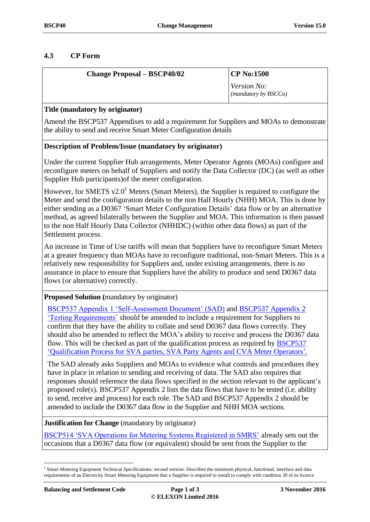# **4.3 CP Form**

| <b>Change Proposal – BSCP40/02</b> | $\mathbf{CP}$ No:1500                                              |
|------------------------------------|--------------------------------------------------------------------|
|                                    | <i>Version No:</i><br>$\left($ <i>mandatory by BSCCo</i> $\right)$ |

## **Title (mandatory by originator)**

Amend the BSCP537 Appendixes to add a requirement for Suppliers and MOAs to demonstrate the ability to send and receive Smart Meter Configuration details

## **Description of Problem/Issue (mandatory by originator)**

Under the current Supplier Hub arrangements, Meter Operator Agents (MOAs) configure and reconfigure meters on behalf of Suppliers and notify the Data Collector (DC) (as well as other Supplier Hub participants)of the meter configuration.

However, for SMETS v2.0<sup>1</sup> Meters (Smart Meters), the Supplier is required to configure the Meter and send the configuration details to the non Half Hourly (NHH) MOA. This is done by either sending as a D0367 'Smart Meter Configuration Details' data flow or by an alternative method, as agreed bilaterally between the Supplier and MOA. This information is then passed to the non Half Hourly Data Collector (NHHDC) (within other data flows) as part of the Settlement process.

An increase in Time of Use tariffs will mean that Suppliers have to reconfigure Smart Meters at a greater frequency than MOAs have to reconfigure traditional, non-Smart Meters. This is a relatively new responsibility for Suppliers and, under existing arrangements, there is no assurance in place to ensure that Suppliers have the ability to produce and send D0367 data flows (or alternative) correctly.

## **Proposed Solution (**mandatory by originator)

[BSCP537 Appendix 1 'Self-Assessment Document' \(SAD\)](https://www.elexon.co.uk/bsc-and-codes/bsc-related-documents/bscps/?show=all) and [BSCP537 Appendix 2](https://www.elexon.co.uk/bsc-and-codes/bsc-related-documents/bscps/?show=all)  ['Testing Requirements'](https://www.elexon.co.uk/bsc-and-codes/bsc-related-documents/bscps/?show=all) should be amended to include a requirement for Suppliers to confirm that they have the ability to collate and send D0367 data flows correctly. They should also be amended to reflect the MOA's ability to receive and process the D0367 data flow. This will be checked as part of the qualification process as required by [BSCP537](https://www.elexon.co.uk/bsc-and-codes/bsc-related-documents/bscps/?show=all) ['Qualification Process for SVA parties, SVA Party Agents and CVA](https://www.elexon.co.uk/bsc-and-codes/bsc-related-documents/bscps/?show=all) Meter Operators'.

The SAD already asks Suppliers and MOAs to evidence what controls and procedures they have in place in relation to sending and receiving of data. The SAD also requires that responses should reference the data flows specified in the section relevant to the applicant's proposed role(s). BSCP537 Appendix 2 lists the data flows that have to be tested (i.e. ability to send, receive and process) for each role. The SAD and BSCP537 Appendix 2 should be amended to include the D0367 data flow in the Supplier and NHH MOA sections.

**Justification for Change** (mandatory by originator)

[BSCP514 'SVA Operations for Metering Systems Registered in SMRS'](https://www.elexon.co.uk/bsc-and-codes/bsc-related-documents/bscps/?show=all) already sets out the occasions that a D0367 data flow (or equivalent) should be sent from the Supplier to the

 $\overline{a}$ 

<sup>&</sup>lt;sup>1</sup> Smart Metering Equipment Technical Specifications: second version. Describes the minimum physical, functional, interface and data requirements of an Electricity Smart Metering Equipment that a Supplier is required to install to comply with condition 39 of its licence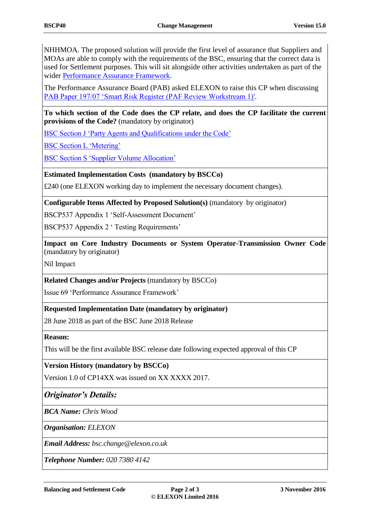NHHMOA. The proposed solution will provide the first level of assurance that Suppliers and MOAs are able to comply with the requirements of the BSC, ensuring that the correct data is used for Settlement purposes. This will sit alongside other activities undertaken as part of the wider [Performance Assurance Framework.](https://www.elexon.co.uk/reference/performance-assurance/)

The Performance Assurance Board (PAB) asked ELEXON to raise this CP when discussing [PAB Paper 197/07 'Smart Risk Register \(PAF Review Workstream 1\)'.](https://www.elexon.co.uk/meeting/pab-197/)

**To which section of the Code does the CP relate, and does the CP facilitate the current provisions of the Code?** (mandatory by originator)

[BSC Section J 'Party Agents and Qualifications under the Code'](https://www.elexon.co.uk/bsc-and-codes/balancing-settlement-code/bsc-sections/)

[BSC Section L 'Metering'](https://www.elexon.co.uk/bsc-and-codes/balancing-settlement-code/bsc-sections/)

[BSC Section S 'Supplier Volume Allocation'](https://www.elexon.co.uk/bsc-and-codes/balancing-settlement-code/bsc-sections/)

### **Estimated Implementation Costs (mandatory by BSCCo)**

£240 (one ELEXON working day to implement the necessary document changes).

**Configurable Items Affected by Proposed Solution(s)** (mandatory by originator)

BSCP537 Appendix 1 'Self-Assessment Document'

BSCP537 Appendix 2 ' Testing Requirements'

**Impact on Core Industry Documents or System Operator-Transmission Owner Code**  (mandatory by originator)

Nil Impact

**Related Changes and/or Projects** (mandatory by BSCCo)

Issue 69 'Performance Assurance Framework'

### **Requested Implementation Date (mandatory by originator)**

28 June 2018 as part of the BSC June 2018 Release

### **Reason:**

This will be the first available BSC release date following expected approval of this CP

**Version History (mandatory by BSCCo)** 

Version 1.0 of CP14XX was issued on XX XXXX 2017.

## *Originator's Details:*

*BCA Name: Chris Wood*

*Organisation: ELEXON*

*Email Address: bsc.change@elexon.co.uk*

*Telephone Number: 020 7380 4142*